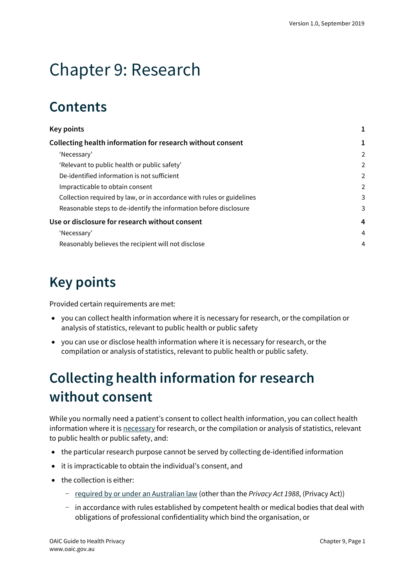# Chapter 9: Research

# **Contents**

| <b>Key points</b>                                                     |                |
|-----------------------------------------------------------------------|----------------|
| Collecting health information for research without consent            |                |
| 'Necessary'                                                           | 2              |
| 'Relevant to public health or public safety'                          | 2              |
| De-identified information is not sufficient                           | 2              |
| Impracticable to obtain consent                                       | $\overline{a}$ |
| Collection required by law, or in accordance with rules or guidelines | 3              |
| Reasonable steps to de-identify the information before disclosure     | 3              |
| Use or disclosure for research without consent                        | 4              |
| 'Necessary'                                                           | 4              |
| Reasonably believes the recipient will not disclose                   | 4              |
|                                                                       |                |

# <span id="page-0-0"></span>**Key points**

Provided certain requirements are met:

- you can collect health information where it is necessary for research, or the compilation or analysis of statistics, relevant to public health or public safety
- you can use or disclose health information where it is necessary for research, or the compilation or analysis of statistics, relevant to public health or public safety.

# <span id="page-0-1"></span>**Collecting health information for research without consent**

While you normally need a patient's consent to collect health information, you can collect health information where it is [necessary](https://www.oaic.gov.au/privacy/australian-privacy-principles-guidelines/chapter-b-key-concepts/#reasonably-necessary-and-necessary) for research, or the compilation or analysis of statistics, relevant to public health or public safety, and:

- the particular research purpose cannot be served by collecting de-identified information
- it is impracticable to obtain the individual's consent, and
- the collection is either:
	- − [required by or under an Australian law](https://www.oaic.gov.au/privacy/australian-privacy-principles-guidelines/chapter-b-key-concepts/#required-or-authorised-by-or-under-an-australian-law-or-a-courttribunal-order) (other than the *Privacy Act 1988*, (Privacy Act))
	- − in accordance with rules established by competent health or medical bodies that deal with obligations of professional confidentiality which bind the organisation, or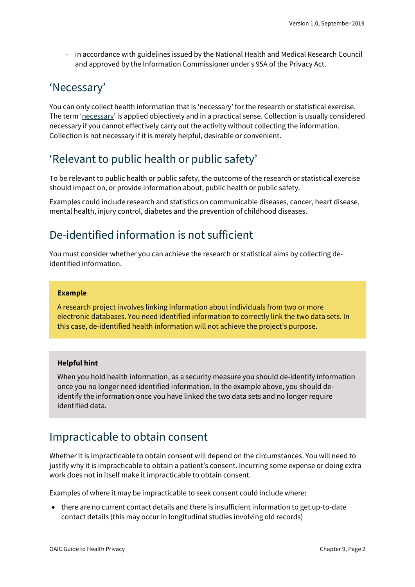− in accordance with guidelines issued by the National Health and Medical Research Council and approved by the Information Commissioner under s 95A of the Privacy Act.

### <span id="page-1-0"></span>'Necessary'

You can only collect health information that is 'necessary' for the research or statistical exercise. The term ['necessary'](https://www.oaic.gov.au/privacy/australian-privacy-principles-guidelines/chapter-b-key-concepts/#reasonably-necessary-and-necessary) is applied objectively and in a practical sense. Collection is usually considered necessary if you cannot effectively carry out the activity without collecting the information. Collection is not necessary if it is merely helpful, desirable or convenient.

## <span id="page-1-1"></span>'Relevant to public health or public safety'

To be relevant to public health or public safety, the outcome of the research or statistical exercise should impact on, or provide information about, public health or public safety.

Examples could include research and statistics on communicable diseases, cancer, heart disease, mental health, injury control, diabetes and the prevention of childhood diseases.

## <span id="page-1-2"></span>De-identified information is not sufficient

You must consider whether you can achieve the research or statistical aims by collecting deidentified information.

#### **Example**

A research project involves linking information about individuals from two or more electronic databases. You need identified information to correctly link the two data sets. In this case, de-identified health information will not achieve the project's purpose.

#### **Helpful hint**

When you hold health information, as a security measure you should de-identify information once you no longer need identified information. In the example above, you should deidentify the information once you have linked the two data sets and no longer require identified data.

### <span id="page-1-3"></span>Impracticable to obtain consent

Whether it is impracticable to obtain consent will depend on the circumstances. You will need to justify why it is impracticable to obtain a patient's consent. Incurring some expense or doing extra work does not in itself make it impracticable to obtain consent.

Examples of where it may be impracticable to seek consent could include where:

• there are no current contact details and there is insufficient information to get up-to-date contact details (this may occur in longitudinal studies involving old records)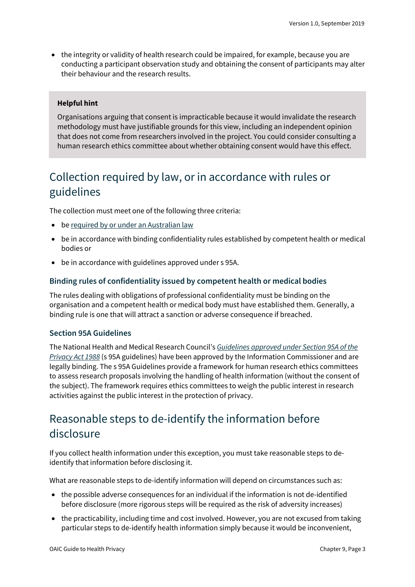• the integrity or validity of health research could be impaired, for example, because you are conducting a participant observation study and obtaining the consent of participants may alter their behaviour and the research results.

#### **Helpful hint**

Organisations arguing that consent is impracticable because it would invalidate the research methodology must have justifiable grounds for this view, including an independent opinion that does not come from researchers involved in the project. You could consider consulting a human research ethics committee about whether obtaining consent would have this effect.

# <span id="page-2-0"></span>Collection required by law, or in accordance with rules or guidelines

The collection must meet one of the following three criteria:

- b[e required by or under an Australian law](https://www.oaic.gov.au/privacy/australian-privacy-principles-guidelines/chapter-b-key-concepts/#required-or-authorised-by-or-under-an-australian-law-or-a-courttribunal-order)
- be in accordance with binding confidentiality rules established by competent health or medical bodies or
- be in accordance with guidelines approved under s 95A.

#### **Binding rules of confidentiality issued by competent health or medical bodies**

The rules dealing with obligations of professional confidentiality must be binding on the organisation and a competent health or medical body must have established them. Generally, a binding rule is one that will attract a sanction or adverse consequence if breached.

#### **Section 95A Guidelines**

The National Health and Medical Research Council's *[Guidelines approved under Section 95A of the](https://www.legislation.gov.au/Series/F2014L00243)  [Privacy Act 1988](https://www.legislation.gov.au/Series/F2014L00243)* (s 95A guidelines) have been approved by the Information Commissioner and are legally binding. The s 95A Guidelines provide a framework for human research ethics committees to assess research proposals involving the handling of health information (without the consent of the subject). The framework requires ethics committees to weigh the public interest in research activities against the public interest in the protection of privacy.

## <span id="page-2-1"></span>Reasonable steps to de-identify the information before disclosure

If you collect health information under this exception, you must take reasonable steps to deidentify that information before disclosing it.

What are reasonable steps to de-identify information will depend on circumstances such as:

- the possible adverse consequences for an individual if the information is not de-identified before disclosure (more rigorous steps will be required as the risk of adversity increases)
- the practicability, including time and cost involved. However, you are not excused from taking particular steps to de-identify health information simply because it would be inconvenient,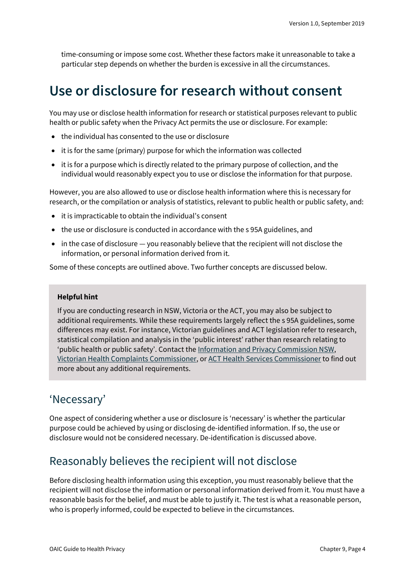time-consuming or impose some cost. Whether these factors make it unreasonable to take a particular step depends on whether the burden is excessive in all the circumstances.

# <span id="page-3-0"></span>**Use or disclosure for research without consent**

You may use or disclose health information for research or statistical purposes relevant to public health or public safety when the Privacy Act permits the use or disclosure. For example:

- the individual has consented to the use or disclosure
- it is for the same (primary) purpose for which the information was collected
- it is for a purpose which is directly related to the primary purpose of collection, and the individual would reasonably expect you to use or disclose the information for that purpose.

However, you are also allowed to use or disclose health information where this is necessary for research, or the compilation or analysis of statistics, relevant to public health or public safety, and:

- it is impracticable to obtain the individual's consent
- the use or disclosure is conducted in accordance with the s 95A guidelines, and
- in the case of disclosure you reasonably believe that the recipient will not disclose the information, or personal information derived from it.

Some of these concepts are outlined above. Two further concepts are discussed below.

#### **Helpful hint**

If you are conducting research in NSW, Victoria or the ACT, you may also be subject to additional requirements. While these requirements largely reflect the s 95A guidelines, some differences may exist. For instance, Victorian guidelines and ACT legislation refer to research, statistical compilation and analysis in the 'public interest' rather than research relating to 'public health or public safety'. Contact the [Information and Privacy Commission NSW,](https://www.ipc.nsw.gov.au/) [Victorian Health Complaints Commissioner,](https://hcc.vic.gov.au/) or [ACT Health Services Commissioner](https://hrc.act.gov.au/health/) to find out more about any additional requirements.

### <span id="page-3-1"></span>'Necessary'

One aspect of considering whether a use or disclosure is 'necessary' is whether the particular purpose could be achieved by using or disclosing de-identified information. If so, the use or disclosure would not be considered necessary. De-identification is discussed above.

## <span id="page-3-2"></span>Reasonably believes the recipient will not disclose

Before disclosing health information using this exception, you must reasonably believe that the recipient will not disclose the information or personal information derived from it. You must have a reasonable basis for the belief, and must be able to justify it. The test is what a reasonable person, who is properly informed, could be expected to believe in the circumstances.